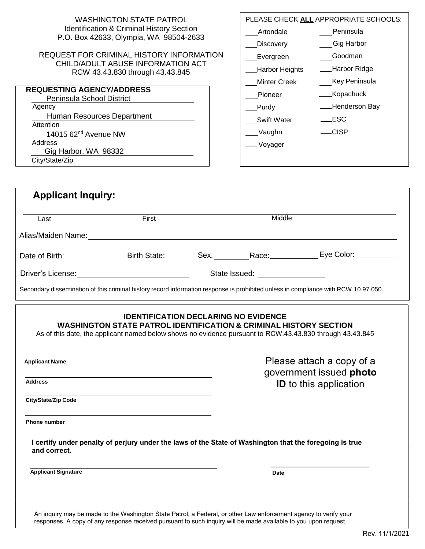| <b>WASHINGTON STATE PATROL</b>                                                                                                                                                                                                          |                                                      | PLEASE CHECK ALL APPROPRIATE SCHOOLS: |  |
|-----------------------------------------------------------------------------------------------------------------------------------------------------------------------------------------------------------------------------------------|------------------------------------------------------|---------------------------------------|--|
| <b>Identification &amp; Criminal History Section</b>                                                                                                                                                                                    |                                                      | Peninsula                             |  |
| P.O. Box 42633, Olympia, WA 98504-2633                                                                                                                                                                                                  | Artondale                                            |                                       |  |
| <b>REQUEST FOR CRIMINAL HISTORY INFORMATION</b>                                                                                                                                                                                         | <b>Discovery</b>                                     | Gig Harbor                            |  |
| CHILD/ADULT ABUSE INFORMATION ACT                                                                                                                                                                                                       | Evergreen                                            | Goodman                               |  |
| RCW 43.43.830 through 43.43.845                                                                                                                                                                                                         | Harbor Heights                                       | - Harbor Ridge                        |  |
| <b>REQUESTING AGENCY/ADDRESS</b>                                                                                                                                                                                                        | <b>Minter Creek</b>                                  | Key Peninsula                         |  |
| Peninsula School District                                                                                                                                                                                                               | Pioneer                                              | ___Kopachuck                          |  |
| Agency                                                                                                                                                                                                                                  | <b>Purdy</b>                                         | -Henderson Bay                        |  |
| Human Resources Department<br>Attention                                                                                                                                                                                                 | <b>Swift Water</b>                                   | $\rule{1em}{0.15mm}$ ESC              |  |
| 14015 62 <sup>nd</sup> Avenue NW                                                                                                                                                                                                        | __Vaughn                                             | $-CISP$                               |  |
| Address                                                                                                                                                                                                                                 | — Voyager                                            |                                       |  |
| Gig Harbor, WA 98332                                                                                                                                                                                                                    |                                                      |                                       |  |
| City/State/Zip                                                                                                                                                                                                                          |                                                      |                                       |  |
|                                                                                                                                                                                                                                         |                                                      |                                       |  |
| <b>Applicant Inquiry:</b>                                                                                                                                                                                                               |                                                      |                                       |  |
| First<br>Last                                                                                                                                                                                                                           | Middle                                               |                                       |  |
|                                                                                                                                                                                                                                         |                                                      |                                       |  |
|                                                                                                                                                                                                                                         |                                                      |                                       |  |
| Date of Birth: ____________________Birth State: _________Sex: ___________Race: ______________Eye Color: ___________                                                                                                                     |                                                      |                                       |  |
| Driver's License: <u>Contract Communication</u> State Issued: Contract Communication State Issued:                                                                                                                                      |                                                      |                                       |  |
|                                                                                                                                                                                                                                         |                                                      |                                       |  |
| Secondary dissemination of this criminal history record information response is prohibited unless in compliance with RCW 10.97.050.                                                                                                     |                                                      |                                       |  |
| <b>IDENTIFICATION DECLARING NO EVIDENCE</b><br><b>WASHINGTON STATE PATROL IDENTIFICATION &amp; CRIMINAL HISTORY SECTION</b><br>As of this date, the applicant named below shows no evidence pursuant to RCW.43.43.830 through 43.43.845 |                                                      |                                       |  |
| <b>Applicant Name</b>                                                                                                                                                                                                                   | Please attach a copy of a<br>government issued photo |                                       |  |
| <b>Address</b>                                                                                                                                                                                                                          | <b>ID</b> to this application                        |                                       |  |
|                                                                                                                                                                                                                                         |                                                      |                                       |  |
| City/State/Zip Code                                                                                                                                                                                                                     |                                                      |                                       |  |
| <b>Phone number</b>                                                                                                                                                                                                                     |                                                      |                                       |  |
| I certify under penalty of perjury under the laws of the State of Washington that the foregoing is true<br>and correct.                                                                                                                 |                                                      |                                       |  |
| <b>Applicant Signature</b>                                                                                                                                                                                                              | <b>Date</b>                                          |                                       |  |
|                                                                                                                                                                                                                                         |                                                      |                                       |  |

 $\overline{\phantom{a}}$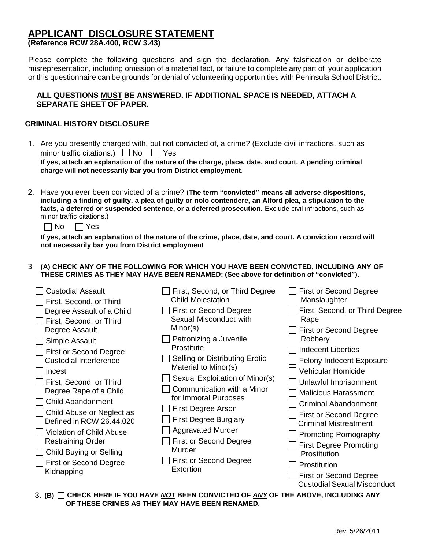#### **APPLICANT DISCLOSURE STATEMENT (Reference RCW 28A.400, RCW 3.43)**

Please complete the following questions and sign the declaration. Any falsification or deliberate misrepresentation, including omission of a material fact, or failure to complete any part of your application or this questionnaire can be grounds for denial of volunteering opportunities with Peninsula School District.

#### **ALL QUESTIONS MUST BE ANSWERED. IF ADDITIONAL SPACE IS NEEDED, ATTACH A SEPARATE SHEET OF PAPER.**

#### **CRIMINAL HISTORY DISCLOSURE**

1. Are you presently charged with, but not convicted of, a crime? (Exclude civil infractions, such as minor traffic citations.)  $\Box$  No  $\Box$  Yes

**If yes, attach an explanation of the nature of the charge, place, date, and court. A pending criminal charge will not necessarily bar you from District employment**.

2. Have you ever been convicted of a crime? **(The term "convicted" means all adverse dispositions, including a finding of guilty, a plea of guilty or nolo contendere, an Alford plea, a stipulation to the** facts, a deferred or suspended sentence, or a deferred prosecution. Exclude civil infractions, such as minor traffic citations.)

 $\n  $\Box$  No  $\Box$  Yes$ 

If yes, attach an explanation of the nature of the crime, place, date, and court. A conviction record will **not necessarily bar you from District employment**.

#### 3. **(A) CHECK ANY OF THE FOLLOWING FOR WHICH YOU HAVE BEEN CONVICTED, INCLUDING ANY OF THESE CRIMES AS THEY MAY HAVE BEEN RENAMED: (See above for definition of "convicted").**

| <b>Custodial Assault</b>      | First, Second, or Third Degree      | <b>First or Second Degree</b>      |
|-------------------------------|-------------------------------------|------------------------------------|
| First, Second, or Third       | <b>Child Molestation</b>            | Manslaughter                       |
| Degree Assault of a Child     | <b>First or Second Degree</b>       | First, Second, or Third Degree     |
| First, Second, or Third       | Sexual Misconduct with              | Rape                               |
| Degree Assault                | Minor(s)                            | First or Second Degree             |
| Simple Assault                | Patronizing a Juvenile              | Robbery                            |
| <b>First or Second Degree</b> | Prostitute                          | <b>Indecent Liberties</b>          |
| <b>Custodial Interference</b> | Selling or Distributing Erotic      | <b>Felony Indecent Exposure</b>    |
| Incest                        | Material to Minor(s)                | Vehicular Homicide                 |
| First, Second, or Third       | Sexual Exploitation of Minor(s)     | Unlawful Imprisonment              |
| Degree Rape of a Child        | Communication with a Minor          | <b>Malicious Harassment</b>        |
| <b>Child Abandonment</b>      | for Immoral Purposes                | <b>Criminal Abandonment</b>        |
| Child Abuse or Neglect as     | First Degree Arson                  | <b>First or Second Degree</b>      |
| Defined in RCW 26.44.020      | <b>First Degree Burglary</b>        | <b>Criminal Mistreatment</b>       |
| Violation of Child Abuse      | <b>Aggravated Murder</b>            | <b>Promoting Pornography</b>       |
| <b>Restraining Order</b>      | <b>First or Second Degree</b>       | <b>First Degree Promoting</b>      |
| Child Buying or Selling       | Murder                              | Prostitution                       |
| First or Second Degree        | First or Second Degree<br>Extortion | Prostitution                       |
| Kidnapping                    |                                     | <b>First or Second Degree</b>      |
|                               |                                     | <b>Custodial Sexual Misconduct</b> |

3. **(B) CHECK HERE IF YOU HAVE** *NOT* **BEEN CONVICTED OF** *ANY* **OF THE ABOVE, INCLUDING ANY OF THESE CRIMES AS THEY MAY HAVE BEEN RENAMED.**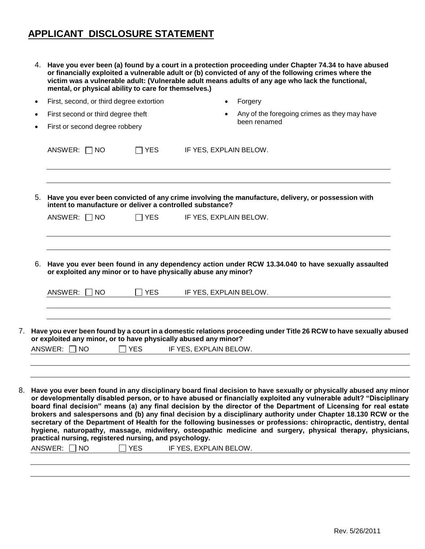## **APPLICANT DISCLOSURE STATEMENT**

|           |                                    |                                | mental, or physical ability to care for themselves.)                 | 4. Have you ever been (a) found by a court in a protection proceeding under Chapter 74.34 to have abused<br>or financially exploited a vulnerable adult or (b) convicted of any of the following crimes where the<br>victim was a vulnerable adult: (Vulnerable adult means adults of any age who lack the functional,                                                                                                                                                                                                                                                                                                                                                                                                                          |
|-----------|------------------------------------|--------------------------------|----------------------------------------------------------------------|-------------------------------------------------------------------------------------------------------------------------------------------------------------------------------------------------------------------------------------------------------------------------------------------------------------------------------------------------------------------------------------------------------------------------------------------------------------------------------------------------------------------------------------------------------------------------------------------------------------------------------------------------------------------------------------------------------------------------------------------------|
| $\bullet$ |                                    |                                | First, second, or third degree extortion                             | Forgery                                                                                                                                                                                                                                                                                                                                                                                                                                                                                                                                                                                                                                                                                                                                         |
| $\bullet$ | First second or third degree theft |                                |                                                                      | Any of the foregoing crimes as they may have                                                                                                                                                                                                                                                                                                                                                                                                                                                                                                                                                                                                                                                                                                    |
|           |                                    | First or second degree robbery |                                                                      | been renamed                                                                                                                                                                                                                                                                                                                                                                                                                                                                                                                                                                                                                                                                                                                                    |
|           | ANSWER: $\Box$ NO                  |                                | $\Box$ YES                                                           | IF YES, EXPLAIN BELOW.                                                                                                                                                                                                                                                                                                                                                                                                                                                                                                                                                                                                                                                                                                                          |
|           |                                    |                                |                                                                      | 5. Have you ever been convicted of any crime involving the manufacture, delivery, or possession with<br>intent to manufacture or deliver a controlled substance?                                                                                                                                                                                                                                                                                                                                                                                                                                                                                                                                                                                |
|           | ANSWER: $\Box$ NO                  |                                | <b>YES</b>                                                           | IF YES, EXPLAIN BELOW.                                                                                                                                                                                                                                                                                                                                                                                                                                                                                                                                                                                                                                                                                                                          |
| 6.        |                                    |                                |                                                                      | Have you ever been found in any dependency action under RCW 13.34.040 to have sexually assaulted                                                                                                                                                                                                                                                                                                                                                                                                                                                                                                                                                                                                                                                |
|           | ANSWER:                            | NO.                            | <b>YES</b>                                                           | or exploited any minor or to have physically abuse any minor?<br>IF YES, EXPLAIN BELOW.                                                                                                                                                                                                                                                                                                                                                                                                                                                                                                                                                                                                                                                         |
|           |                                    |                                |                                                                      | Have you ever been found by a court in a domestic relations proceeding under Title 26 RCW to have sexually abused<br>or exploited any minor, or to have physically abused any minor?                                                                                                                                                                                                                                                                                                                                                                                                                                                                                                                                                            |
|           | ANSWER: $\Box$ NO                  |                                | <b>YES</b>                                                           | IF YES, EXPLAIN BELOW.                                                                                                                                                                                                                                                                                                                                                                                                                                                                                                                                                                                                                                                                                                                          |
|           |                                    |                                |                                                                      |                                                                                                                                                                                                                                                                                                                                                                                                                                                                                                                                                                                                                                                                                                                                                 |
|           | ANSWER: $\Box$ NO                  |                                | practical nursing, registered nursing, and psychology.<br><b>YES</b> | 8. Have you ever been found in any disciplinary board final decision to have sexually or physically abused any minor<br>or developmentally disabled person, or to have abused or financially exploited any vulnerable adult? "Disciplinary<br>board final decision" means (a) any final decision by the director of the Department of Licensing for real estate<br>brokers and salespersons and (b) any final decision by a disciplinary authority under Chapter 18.130 RCW or the<br>secretary of the Department of Health for the following businesses or professions: chiropractic, dentistry, dental<br>hygiene, naturopathy, massage, midwifery, osteopathic medicine and surgery, physical therapy, physicians,<br>IF YES, EXPLAIN BELOW. |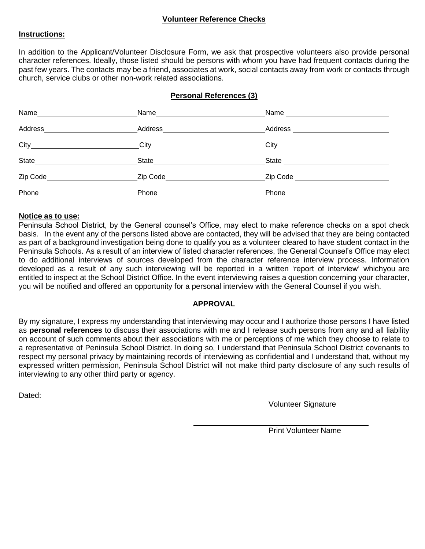#### **Volunteer Reference Checks**

#### **Instructions:**

In addition to the Applicant/Volunteer Disclosure Form, we ask that prospective volunteers also provide personal character references. Ideally, those listed should be persons with whom you have had frequent contacts during the past few years. The contacts may be a friend, associates at work, social contacts away from work or contacts through church, service clubs or other non-work related associations.

#### **Personal References (3)**

| Name__________________________ |                                 |                                 |
|--------------------------------|---------------------------------|---------------------------------|
| Address                        | Address ______________________  | Address _______________         |
|                                |                                 |                                 |
|                                |                                 | State _________________________ |
| Zip Code_____________________  | Zip Code ______________________ | Zip Code                        |
|                                | Phone__________________________ | Phone _________________         |

#### **Notice as to use:**

Peninsula School District, by the General counsel's Office, may elect to make reference checks on a spot check basis. In the event any of the persons listed above are contacted, they will be advised that they are being contacted as part of a background investigation being done to qualify you as a volunteer cleared to have student contact in the Peninsula Schools. As a result of an interview of listed character references, the General Counsel's Office may elect to do additional interviews of sources developed from the character reference interview process. Information developed as a result of any such interviewing will be reported in a written 'report of interview' whichyou are entitled to inspect at the School District Office. In the event interviewing raises a question concerning your character, you will be notified and offered an opportunity for a personal interview with the General Counsel if you wish.

#### **APPROVAL**

By my signature, I express my understanding that interviewing may occur and I authorize those persons I have listed as **personal references** to discuss their associations with me and I release such persons from any and all liability on account of such comments about their associations with me or perceptions of me which they choose to relate to a representative of Peninsula School District. In doing so, I understand that Peninsula School District covenants to respect my personal privacy by maintaining records of interviewing as confidential and I understand that, without my expressed written permission, Peninsula School District will not make third party disclosure of any such results of interviewing to any other third party or agency.

Dated:

Volunteer Signature

Print Volunteer Name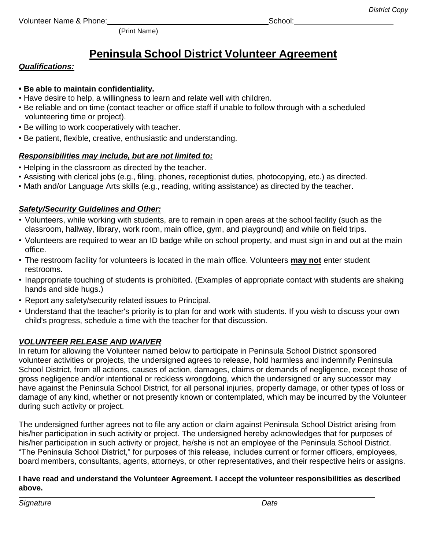Volunteer Name & Phone: School: School: School: School: School: School: School: School: School: School: School: School: School: School: School: School: School: School: School: School: School: School: School: School: School

(Print Name)

## **Peninsula School District Volunteer Agreement**

## *Qualifications:*

### **• Be able to maintain confidentiality.**

- Have desire to help, a willingness to learn and relate well with children.
- Be reliable and on time (contact teacher or office staff if unable to follow through with a scheduled volunteering time or project).
- Be willing to work cooperatively with teacher.
- Be patient, flexible, creative, enthusiastic and understanding.

## *Responsibilities may include, but are not limited to:*

- Helping in the classroom as directed by the teacher.
- Assisting with clerical jobs (e.g., filing, phones, receptionist duties, photocopying, etc.) as directed.
- Math and/or Language Arts skills (e.g., reading, writing assistance) as directed by the teacher.

## *Safety/Security Guidelines and Other:*

- Volunteers, while working with students, are to remain in open areas at the school facility (such as the classroom, hallway, library, work room, main office, gym, and playground) and while on field trips.
- Volunteers are required to wear an ID badge while on school property, and must sign in and out at the main office.
- The restroom facility for volunteers is located in the main office. Volunteers **may not** enter student restrooms.
- Inappropriate touching of students is prohibited. (Examples of appropriate contact with students are shaking hands and side hugs.)
- Report any safety/security related issues to Principal.
- Understand that the teacher's priority is to plan for and work with students. If you wish to discuss your own child's progress, schedule a time with the teacher for that discussion.

## *VOLUNTEER RELEASE AND WAIVER*

In return for allowing the Volunteer named below to participate in Peninsula School District sponsored volunteer activities or projects, the undersigned agrees to release, hold harmless and indemnify Peninsula School District, from all actions, causes of action, damages, claims or demands of negligence, except those of gross negligence and/or intentional or reckless wrongdoing, which the undersigned or any successor may have against the Peninsula School District, for all personal injuries, property damage, or other types of loss or damage of any kind, whether or not presently known or contemplated, which may be incurred by the Volunteer during such activity or project.

The undersigned further agrees not to file any action or claim against Peninsula School District arising from his/her participation in such activity or project. The undersigned hereby acknowledges that for purposes of his/her participation in such activity or project, he/she is not an employee of the Peninsula School District. "The Peninsula School District," for purposes of this release, includes current or former officers, employees, board members, consultants, agents, attorneys, or other representatives, and their respective heirs or assigns.

#### **I have read and understand the Volunteer Agreement. I accept the volunteer responsibilities as described above.**

*Signature Date*